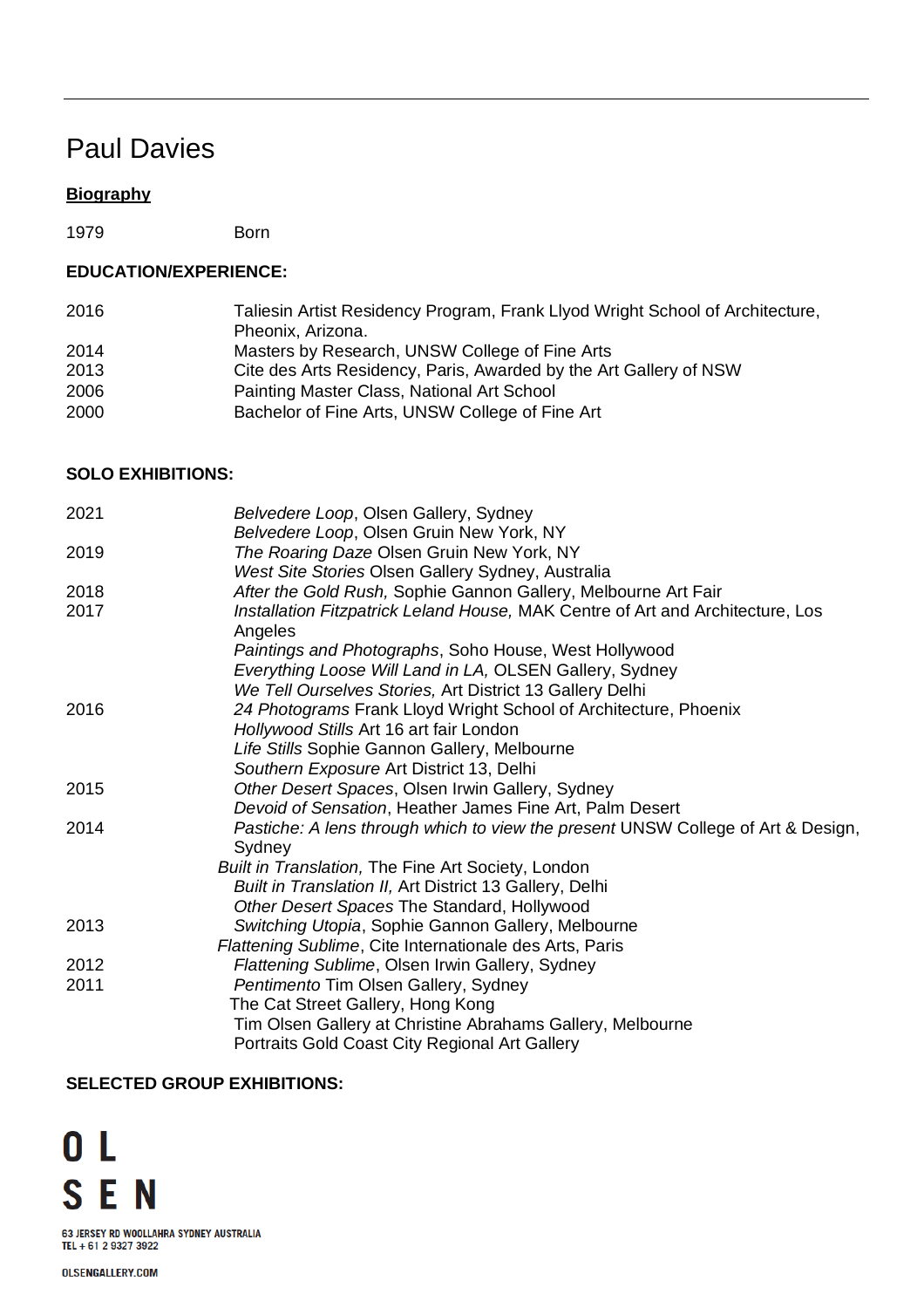# Paul Davies

# **Biography**

1979 Born

## **EDUCATION/EXPERIENCE:**

| 2016 | Taliesin Artist Residency Program, Frank Llyod Wright School of Architecture, |
|------|-------------------------------------------------------------------------------|
|      | Pheonix, Arizona.                                                             |
| 2014 | Masters by Research, UNSW College of Fine Arts                                |
| 2013 | Cite des Arts Residency, Paris, Awarded by the Art Gallery of NSW             |
| 2006 | Painting Master Class, National Art School                                    |
| 2000 | Bachelor of Fine Arts, UNSW College of Fine Art                               |

## **SOLO EXHIBITIONS:**

| 2021 | Belvedere Loop, Olsen Gallery, Sydney<br>Belvedere Loop, Olsen Gruin New York, NY         |
|------|-------------------------------------------------------------------------------------------|
| 2019 | The Roaring Daze Olsen Gruin New York, NY                                                 |
|      | West Site Stories Olsen Gallery Sydney, Australia                                         |
| 2018 | After the Gold Rush, Sophie Gannon Gallery, Melbourne Art Fair                            |
| 2017 | Installation Fitzpatrick Leland House, MAK Centre of Art and Architecture, Los<br>Angeles |
|      | Paintings and Photographs, Soho House, West Hollywood                                     |
|      | Everything Loose Will Land in LA, OLSEN Gallery, Sydney                                   |
|      | We Tell Ourselves Stories, Art District 13 Gallery Delhi                                  |
| 2016 | 24 Photograms Frank Lloyd Wright School of Architecture, Phoenix                          |
|      | Hollywood Stills Art 16 art fair London                                                   |
|      | Life Stills Sophie Gannon Gallery, Melbourne                                              |
|      | Southern Exposure Art District 13, Delhi                                                  |
| 2015 | Other Desert Spaces, Olsen Irwin Gallery, Sydney                                          |
|      | Devoid of Sensation, Heather James Fine Art, Palm Desert                                  |
| 2014 | Pastiche: A lens through which to view the present UNSW College of Art & Design,          |
|      | Sydney                                                                                    |
|      | Built in Translation, The Fine Art Society, London                                        |
|      | Built in Translation II, Art District 13 Gallery, Delhi                                   |
|      | Other Desert Spaces The Standard, Hollywood                                               |
| 2013 | Switching Utopia, Sophie Gannon Gallery, Melbourne                                        |
|      | Flattening Sublime, Cite Internationale des Arts, Paris                                   |
| 2012 | Flattening Sublime, Olsen Irwin Gallery, Sydney                                           |
| 2011 | Pentimento Tim Olsen Gallery, Sydney<br>The Cat Street Gallery, Hong Kong                 |
|      | Tim Olsen Gallery at Christine Abrahams Gallery, Melbourne                                |
|      | Portraits Gold Coast City Regional Art Gallery                                            |
|      |                                                                                           |

## **SELECTED GROUP EXHIBITIONS:**

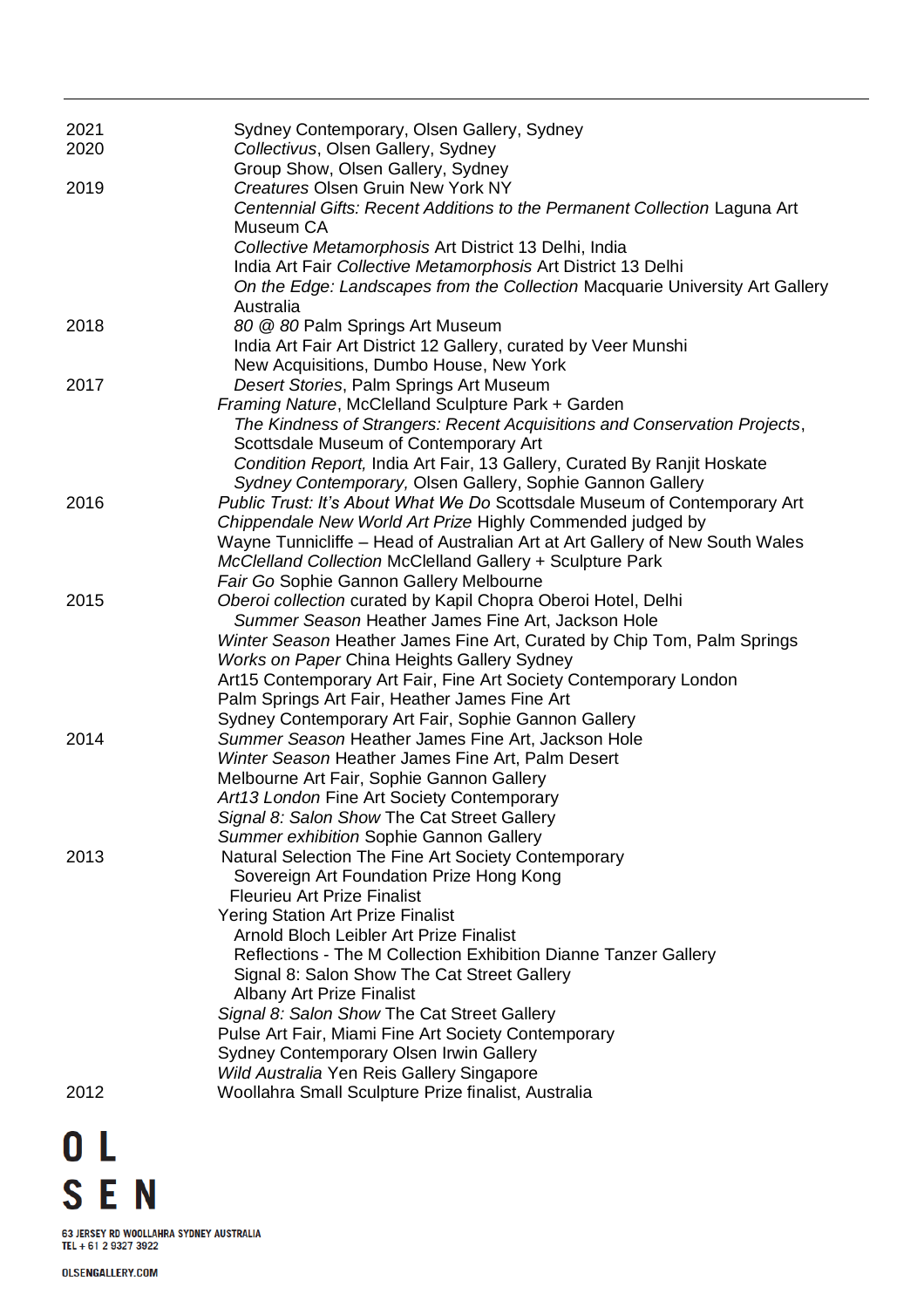| 2021<br>2020 | Sydney Contemporary, Olsen Gallery, Sydney<br>Collectivus, Olsen Gallery, Sydney                                                                           |
|--------------|------------------------------------------------------------------------------------------------------------------------------------------------------------|
|              | Group Show, Olsen Gallery, Sydney                                                                                                                          |
| 2019         | <b>Creatures Olsen Gruin New York NY</b><br>Centennial Gifts: Recent Additions to the Permanent Collection Laguna Art<br>Museum CA                         |
|              | Collective Metamorphosis Art District 13 Delhi, India                                                                                                      |
|              | India Art Fair Collective Metamorphosis Art District 13 Delhi<br>On the Edge: Landscapes from the Collection Macquarie University Art Gallery<br>Australia |
| 2018         | 80 @ 80 Palm Springs Art Museum                                                                                                                            |
|              | India Art Fair Art District 12 Gallery, curated by Veer Munshi                                                                                             |
|              | New Acquisitions, Dumbo House, New York                                                                                                                    |
| 2017         | Desert Stories, Palm Springs Art Museum                                                                                                                    |
|              | Framing Nature, McClelland Sculpture Park + Garden                                                                                                         |
|              | The Kindness of Strangers: Recent Acquisitions and Conservation Projects,                                                                                  |
|              | Scottsdale Museum of Contemporary Art                                                                                                                      |
|              | Condition Report, India Art Fair, 13 Gallery, Curated By Ranjit Hoskate                                                                                    |
|              | Sydney Contemporary, Olsen Gallery, Sophie Gannon Gallery                                                                                                  |
| 2016         | Public Trust: It's About What We Do Scottsdale Museum of Contemporary Art                                                                                  |
|              | Chippendale New World Art Prize Highly Commended judged by                                                                                                 |
|              | Wayne Tunnicliffe – Head of Australian Art at Art Gallery of New South Wales                                                                               |
|              | McClelland Collection McClelland Gallery + Sculpture Park                                                                                                  |
|              | Fair Go Sophie Gannon Gallery Melbourne                                                                                                                    |
| 2015         | Oberoi collection curated by Kapil Chopra Oberoi Hotel, Delhi                                                                                              |
|              | Summer Season Heather James Fine Art, Jackson Hole                                                                                                         |
|              | Winter Season Heather James Fine Art, Curated by Chip Tom, Palm Springs                                                                                    |
|              | <b>Works on Paper China Heights Gallery Sydney</b>                                                                                                         |
|              | Art15 Contemporary Art Fair, Fine Art Society Contemporary London                                                                                          |
|              | Palm Springs Art Fair, Heather James Fine Art<br>Sydney Contemporary Art Fair, Sophie Gannon Gallery                                                       |
| 2014         | Summer Season Heather James Fine Art, Jackson Hole                                                                                                         |
|              | Winter Season Heather James Fine Art, Palm Desert                                                                                                          |
|              | Melbourne Art Fair, Sophie Gannon Gallery                                                                                                                  |
|              | Art13 London Fine Art Society Contemporary                                                                                                                 |
|              | Signal 8: Salon Show The Cat Street Gallery                                                                                                                |
|              | Summer exhibition Sophie Gannon Gallery                                                                                                                    |
| 2013         | Natural Selection The Fine Art Society Contemporary                                                                                                        |
|              | Sovereign Art Foundation Prize Hong Kong                                                                                                                   |
|              | <b>Fleurieu Art Prize Finalist</b>                                                                                                                         |
|              | <b>Yering Station Art Prize Finalist</b>                                                                                                                   |
|              | Arnold Bloch Leibler Art Prize Finalist                                                                                                                    |
|              | Reflections - The M Collection Exhibition Dianne Tanzer Gallery                                                                                            |
|              | Signal 8: Salon Show The Cat Street Gallery                                                                                                                |
|              | <b>Albany Art Prize Finalist</b>                                                                                                                           |
|              | Signal 8: Salon Show The Cat Street Gallery                                                                                                                |
|              | Pulse Art Fair, Miami Fine Art Society Contemporary<br>Sydney Contemporary Olsen Irwin Gallery                                                             |
|              | Wild Australia Yen Reis Gallery Singapore                                                                                                                  |
| 2012         | Woollahra Small Sculpture Prize finalist, Australia                                                                                                        |
|              |                                                                                                                                                            |

 $0<sub>L</sub>$ **SEN** 

63 JERSEY RD WOOLLAHRA SYDNEY AUSTRALIA<br>TEL + 61 2 9327 3922